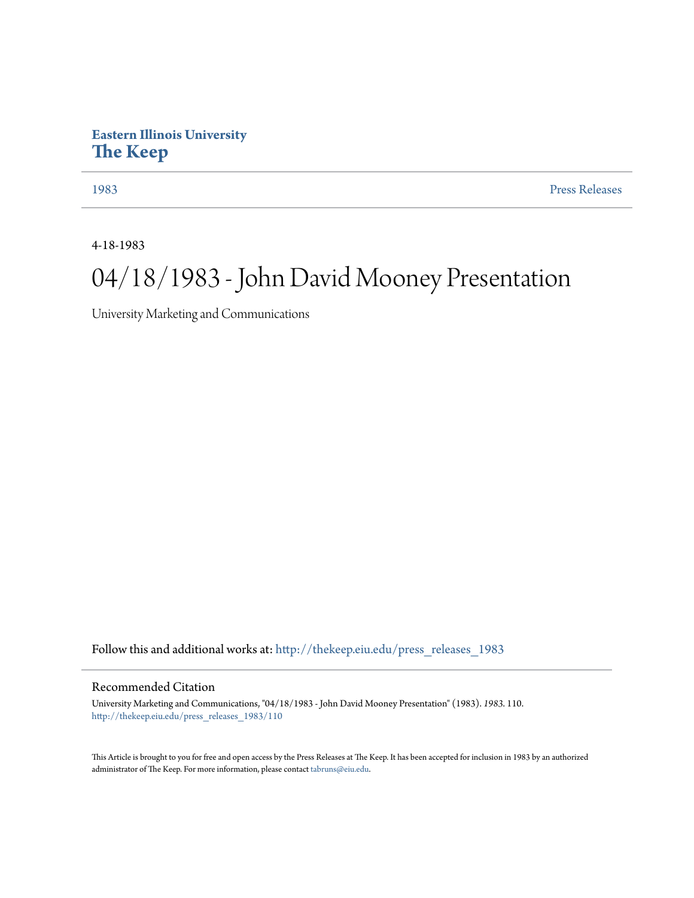## **Eastern Illinois University [The Keep](http://thekeep.eiu.edu?utm_source=thekeep.eiu.edu%2Fpress_releases_1983%2F110&utm_medium=PDF&utm_campaign=PDFCoverPages)**

[1983](http://thekeep.eiu.edu/press_releases_1983?utm_source=thekeep.eiu.edu%2Fpress_releases_1983%2F110&utm_medium=PDF&utm_campaign=PDFCoverPages) [Press Releases](http://thekeep.eiu.edu/press_releases_collection?utm_source=thekeep.eiu.edu%2Fpress_releases_1983%2F110&utm_medium=PDF&utm_campaign=PDFCoverPages)

4-18-1983

## 04/18/1983 - John David Mooney Presentation

University Marketing and Communications

Follow this and additional works at: [http://thekeep.eiu.edu/press\\_releases\\_1983](http://thekeep.eiu.edu/press_releases_1983?utm_source=thekeep.eiu.edu%2Fpress_releases_1983%2F110&utm_medium=PDF&utm_campaign=PDFCoverPages)

## Recommended Citation

University Marketing and Communications, "04/18/1983 - John David Mooney Presentation" (1983). *1983*. 110. [http://thekeep.eiu.edu/press\\_releases\\_1983/110](http://thekeep.eiu.edu/press_releases_1983/110?utm_source=thekeep.eiu.edu%2Fpress_releases_1983%2F110&utm_medium=PDF&utm_campaign=PDFCoverPages)

This Article is brought to you for free and open access by the Press Releases at The Keep. It has been accepted for inclusion in 1983 by an authorized administrator of The Keep. For more information, please contact [tabruns@eiu.edu.](mailto:tabruns@eiu.edu)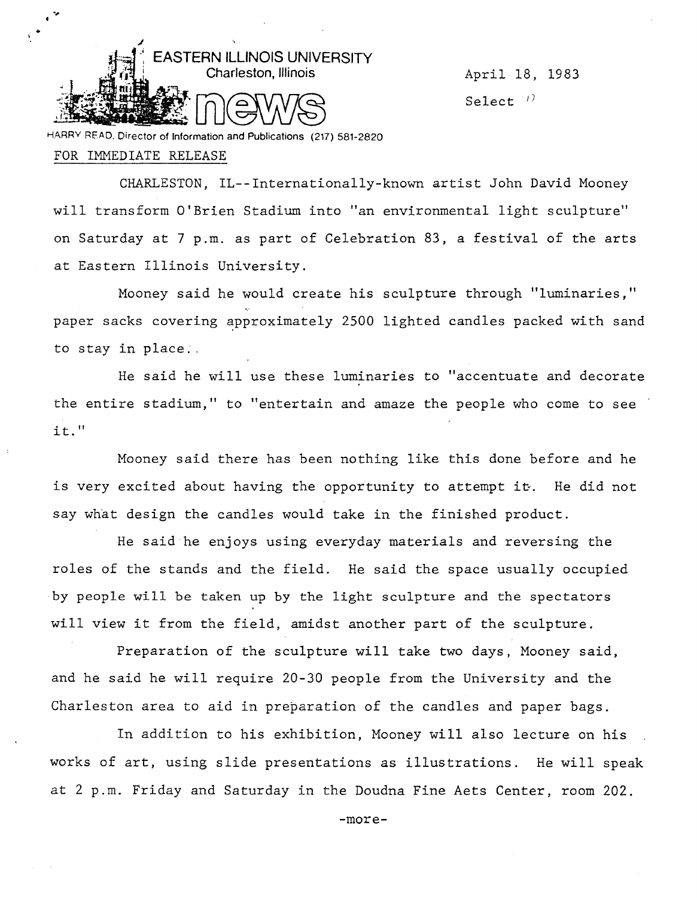

Select  $\langle t \rangle$ 

HARRY READ. Director of Information and Publications (217) 581-2820

## FOR IMMEDIATE RELEASE

CHARLESTON, IL--Internationally-known artist John David Mooney will transform O'Brien Stadium into "an environmental light sculpture" on Saturday at 7 p.m. as part of Celebration 83, a festival of the arts at Eastern Illinois University.

Mooney said he would create his sculpture through ''luminaries," paper sacks covering approximately 2500 lighted candles packed with sand to stay in place ..

He said he will use these luminaries to "accentuate and decorate the entire stadium," to "entertain and amaze the people who come to see it."

Mooney said there has been nothing like this done before and he is very excited about having the opportunity to attempt it. He did not say what design the candles would take in the finished product.

He said he enjoys using everyday materials and reversing the roles of the stands and the field. He said the space usually occupied by people will be taken up by the light sculpture and the spectators will view it from the field, amidst another part of the sculpture.

Preparation of the sculpture will take two days, Mooney said, and he said he will require 20-30 people from the University and the Charleston area to aid in preparation of the candles and paper bags.

In addition to his exhibition, Mooney will also lecture on his works of art, using slide presentations as illustrations. He will speak at 2 p.m. Friday and Saturday in the Doudna Fine Aets Center, room 202.